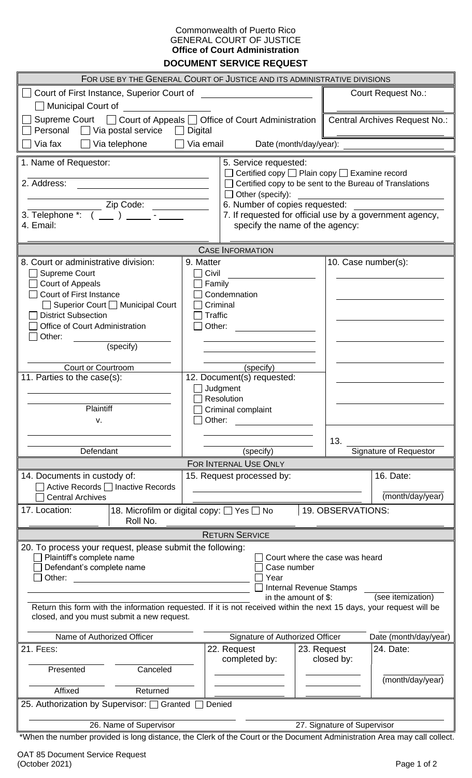## Commonwealth of Puerto Rico GENERAL COURT OF JUSTICE **Office of Court Administration DOCUMENT SERVICE REQUEST**

| FOR USE BY THE GENERAL COURT OF JUSTICE AND ITS ADMINISTRATIVE DIVISIONS                                                                                           |                                                           |                                                    |                                                         |                               |                               |  |  |  |  |  |  |
|--------------------------------------------------------------------------------------------------------------------------------------------------------------------|-----------------------------------------------------------|----------------------------------------------------|---------------------------------------------------------|-------------------------------|-------------------------------|--|--|--|--|--|--|
| Court of First Instance, Superior Court of                                                                                                                         |                                                           | <u> 1990 - John Stein, Amerikaansk politiker (</u> |                                                         | <b>Court Request No.:</b>     |                               |  |  |  |  |  |  |
| Municipal Court of                                                                                                                                                 |                                                           |                                                    |                                                         |                               |                               |  |  |  |  |  |  |
| Supreme Court □ Court of Appeals □ Office of Court Administration                                                                                                  |                                                           |                                                    |                                                         | Central Archives Request No.: |                               |  |  |  |  |  |  |
| Personal $\Box$ Via postal service $\Box$                                                                                                                          |                                                           |                                                    |                                                         |                               |                               |  |  |  |  |  |  |
| Via email<br>Via fax<br>Via telephone<br>Date (month/day/year):                                                                                                    |                                                           |                                                    |                                                         |                               |                               |  |  |  |  |  |  |
| 1. Name of Requestor:<br>5. Service requested:                                                                                                                     |                                                           |                                                    |                                                         |                               |                               |  |  |  |  |  |  |
|                                                                                                                                                                    |                                                           | Certified copy □ Plain copy □ Examine record       |                                                         |                               |                               |  |  |  |  |  |  |
| 2. Address:                                                                                                                                                        |                                                           |                                                    | Certified copy to be sent to the Bureau of Translations |                               |                               |  |  |  |  |  |  |
| Zip Code: _______                                                                                                                                                  | $\Box$ Other (specify):<br>6. Number of copies requested: |                                                    |                                                         |                               |                               |  |  |  |  |  |  |
| 3. Telephone *: $($ _ $)$ _  _ $)$                                                                                                                                 | 7. If requested for official use by a government agency,  |                                                    |                                                         |                               |                               |  |  |  |  |  |  |
| 4. Email:                                                                                                                                                          |                                                           |                                                    | specify the name of the agency:                         |                               |                               |  |  |  |  |  |  |
|                                                                                                                                                                    |                                                           |                                                    |                                                         |                               |                               |  |  |  |  |  |  |
| 8. Court or administrative division:                                                                                                                               | 9. Matter                                                 | <b>CASE INFORMATION</b>                            |                                                         | 10. Case number(s):           |                               |  |  |  |  |  |  |
| Supreme Court                                                                                                                                                      | Civil                                                     |                                                    |                                                         |                               |                               |  |  |  |  |  |  |
| <b>Court of Appeals</b>                                                                                                                                            |                                                           | Family                                             |                                                         |                               |                               |  |  |  |  |  |  |
| <b>Court of First Instance</b>                                                                                                                                     |                                                           | Condemnation                                       |                                                         |                               |                               |  |  |  |  |  |  |
| □ Superior Court □ Municipal Court<br>Criminal                                                                                                                     |                                                           |                                                    |                                                         |                               |                               |  |  |  |  |  |  |
| Office of Court Administration                                                                                                                                     | <b>District Subsection</b><br><b>Traffic</b><br>Other:    |                                                    |                                                         |                               |                               |  |  |  |  |  |  |
| Other:                                                                                                                                                             |                                                           |                                                    |                                                         |                               |                               |  |  |  |  |  |  |
| (specify)                                                                                                                                                          |                                                           |                                                    |                                                         |                               |                               |  |  |  |  |  |  |
|                                                                                                                                                                    |                                                           |                                                    |                                                         |                               |                               |  |  |  |  |  |  |
| <b>Court or Courtroom</b><br>11. Parties to the case(s):                                                                                                           | (specify)<br>12. Document(s) requested:                   |                                                    |                                                         |                               |                               |  |  |  |  |  |  |
|                                                                                                                                                                    |                                                           | Judgment                                           |                                                         |                               |                               |  |  |  |  |  |  |
|                                                                                                                                                                    | Resolution                                                |                                                    |                                                         |                               |                               |  |  |  |  |  |  |
| Plaintiff                                                                                                                                                          |                                                           | Criminal complaint                                 |                                                         |                               |                               |  |  |  |  |  |  |
| v.                                                                                                                                                                 |                                                           | Other:                                             |                                                         |                               |                               |  |  |  |  |  |  |
|                                                                                                                                                                    |                                                           |                                                    |                                                         | 13.                           |                               |  |  |  |  |  |  |
| Defendant                                                                                                                                                          |                                                           | (specify)                                          |                                                         |                               | <b>Signature of Requestor</b> |  |  |  |  |  |  |
|                                                                                                                                                                    |                                                           | FOR INTERNAL USE ONLY                              |                                                         |                               |                               |  |  |  |  |  |  |
| 14. Documents in custody of:<br>Active Records □ Inactive Records                                                                                                  |                                                           | 15. Request processed by:                          |                                                         |                               | 16. Date:                     |  |  |  |  |  |  |
| <b>Central Archives</b>                                                                                                                                            |                                                           |                                                    |                                                         |                               | (month/day/year)              |  |  |  |  |  |  |
| 18. Microfilm or digital copy: □ Yes □ No<br>17. Location:                                                                                                         |                                                           |                                                    |                                                         | 19. OBSERVATIONS:             |                               |  |  |  |  |  |  |
| Roll No.                                                                                                                                                           |                                                           |                                                    |                                                         |                               |                               |  |  |  |  |  |  |
|                                                                                                                                                                    |                                                           | <b>RETURN SERVICE</b>                              |                                                         |                               |                               |  |  |  |  |  |  |
| 20. To process your request, please submit the following:                                                                                                          |                                                           |                                                    |                                                         |                               |                               |  |  |  |  |  |  |
| Plaintiff's complete name<br>Court where the case was heard                                                                                                        |                                                           |                                                    |                                                         |                               |                               |  |  |  |  |  |  |
| Defendant's complete name<br>Case number<br>Other:<br>Year                                                                                                         |                                                           |                                                    |                                                         |                               |                               |  |  |  |  |  |  |
|                                                                                                                                                                    |                                                           |                                                    |                                                         | Internal Revenue Stamps       |                               |  |  |  |  |  |  |
| (see itemization)<br>in the amount of \$:                                                                                                                          |                                                           |                                                    |                                                         |                               |                               |  |  |  |  |  |  |
| Return this form with the information requested. If it is not received within the next 15 days, your request will be<br>closed, and you must submit a new request. |                                                           |                                                    |                                                         |                               |                               |  |  |  |  |  |  |
|                                                                                                                                                                    |                                                           |                                                    |                                                         |                               |                               |  |  |  |  |  |  |
| Name of Authorized Officer                                                                                                                                         |                                                           | Signature of Authorized Officer                    |                                                         |                               | Date (month/day/year)         |  |  |  |  |  |  |
| <b>21. FEES:</b>                                                                                                                                                   |                                                           | 22. Request<br>completed by:                       | 23. Request                                             | closed by:                    | 24. Date:                     |  |  |  |  |  |  |
| Canceled<br>Presented                                                                                                                                              |                                                           |                                                    |                                                         |                               |                               |  |  |  |  |  |  |
|                                                                                                                                                                    |                                                           |                                                    |                                                         |                               | (month/day/year)              |  |  |  |  |  |  |
| Affixed<br>Returned                                                                                                                                                |                                                           |                                                    |                                                         |                               |                               |  |  |  |  |  |  |
| 25. Authorization by Supervisor: [ Granted [<br>Denied                                                                                                             |                                                           |                                                    |                                                         |                               |                               |  |  |  |  |  |  |
|                                                                                                                                                                    | 26. Name of Supervisor<br>27. Signature of Supervisor     |                                                    |                                                         |                               |                               |  |  |  |  |  |  |
| *When the number provided is long distance, the Clerk of the Court or the Document Administration Area may call collect.                                           |                                                           |                                                    |                                                         |                               |                               |  |  |  |  |  |  |